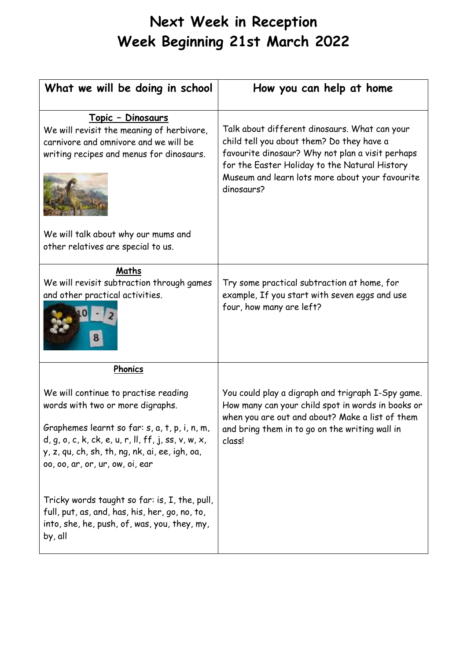## **Next Week in Reception Week Beginning 21st March 2022**

| What we will be doing in school                                                                                                                                                                                                                                         | How you can help at home                                                                                                                                                                                                                                         |
|-------------------------------------------------------------------------------------------------------------------------------------------------------------------------------------------------------------------------------------------------------------------------|------------------------------------------------------------------------------------------------------------------------------------------------------------------------------------------------------------------------------------------------------------------|
| <u> Topic - Dinosaurs</u><br>We will revisit the meaning of herbivore,<br>carnivore and omnivore and we will be<br>writing recipes and menus for dinosaurs.                                                                                                             | Talk about different dinosaurs. What can your<br>child tell you about them? Do they have a<br>favourite dinosaur? Why not plan a visit perhaps<br>for the Easter Holiday to the Natural History<br>Museum and learn lots more about your favourite<br>dinosaurs? |
| We will talk about why our mums and<br>other relatives are special to us.                                                                                                                                                                                               |                                                                                                                                                                                                                                                                  |
| Maths<br>We will revisit subtraction through games<br>and other practical activities.                                                                                                                                                                                   | Try some practical subtraction at home, for<br>example, If you start with seven eggs and use<br>four, how many are left?                                                                                                                                         |
| Phonics                                                                                                                                                                                                                                                                 |                                                                                                                                                                                                                                                                  |
| We will continue to practise reading<br>words with two or more digraphs.<br>Graphemes learnt so far: s, a, t, p, i, n, m,<br>$d, q, o, c, k, ck, e, u, r, ll, ff, j, ss, v, w, x,$<br>y, z, qu, ch, sh, th, ng, nk, ai, ee, igh, oa,<br>00, 00, ar, or, ur, ow, oi, ear | You could play a digraph and trigraph I-Spy game.<br>How many can your child spot in words in books or<br>when you are out and about? Make a list of them<br>and bring them in to go on the writing wall in<br>class!                                            |
| Tricky words taught so far: is, I, the, pull,<br>full, put, as, and, has, his, her, go, no, to,<br>into, she, he, push, of, was, you, they, my,<br>by, all                                                                                                              |                                                                                                                                                                                                                                                                  |